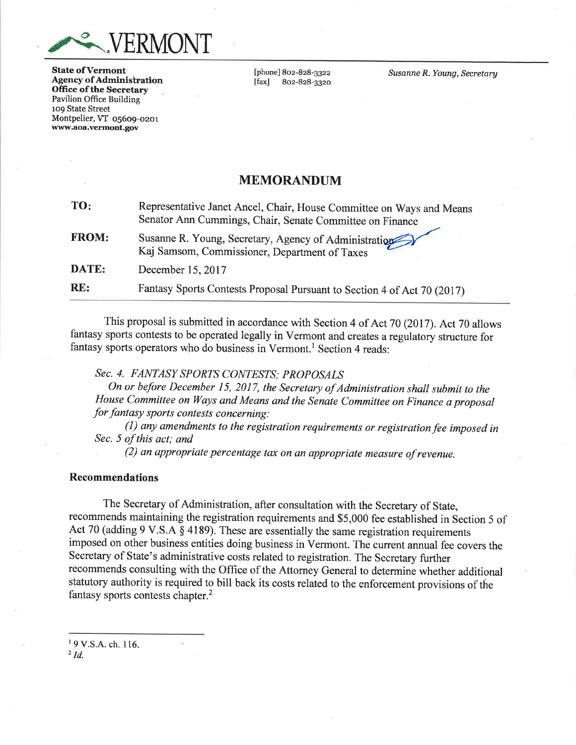

**State of Vermont** Agency of Administration Office of the Secretary Pavilion Office Building 1o9 State Street Montpelier, VT 05609-0201 vyvyw.aoa.vermont.gov

[phone] 8oz-828-3322 lfaxl 8oz-828-332o Susanne R. Young, Secretary

## MEMORANDUM

| TO:          | Representative Janet Ancel, Chair, House Committee on Ways and Means<br>Senator Ann Cummings, Chair, Senate Committee on Finance |
|--------------|----------------------------------------------------------------------------------------------------------------------------------|
| <b>FROM:</b> | Susanne R. Young, Secretary, Agency of Administration<br>Kaj Samsom, Commissioner, Department of Taxes                           |
| DATE:        | December 15, 2017                                                                                                                |
| RE:          | Fantasy Sports Contests Proposal Pursuant to Section 4 of Act 70 (2017)                                                          |

This proposal is submitted in accordance with Section 4 of Act 70 (2017). Act 70 allows fantasy sports contests to be operated legally in Vermont and creates a regulatory structure for fantasy sports operators who do business in Vermont.<sup>1</sup> Section 4 reads:

Sec. 4. FANTASY SPORTS CONTESTS: PROPOSALS

On or before December 15, 2017, the Secretary of Administration shall submit to the House Committee on Ways and Means and the Senate Committee on Finance a proposal for fantasy sports contests concerning:

 $(1)$  any amendments to the registration requirements or registration fee imposed in Sec. 5 of this act; and

 $(2)$  an appropriate percentage tax on an appropriate measure of revenue.

#### Recommendations

The Secretary of Administration, after consultation with the Secretary of State, recommends maintaining the registration requirements and \$5,000 fee established in Section 5 of Act 70 (adding 9 V.S.A  $\S$  4189). These are essentially the same registration requirements imposed on other business entities doing business in Vermont. The current anrual fee covers the Secretary of State's administrative costs related to registration. The Secretary further recommends consulting with the Office of the Attorney General to determine whether additional statutory authority is required to bill back its costs related to the enforcement provisions of the fantasy sports contests chapter.2

' 9 v.s.A. ch. I16.  $^{2}$  Id.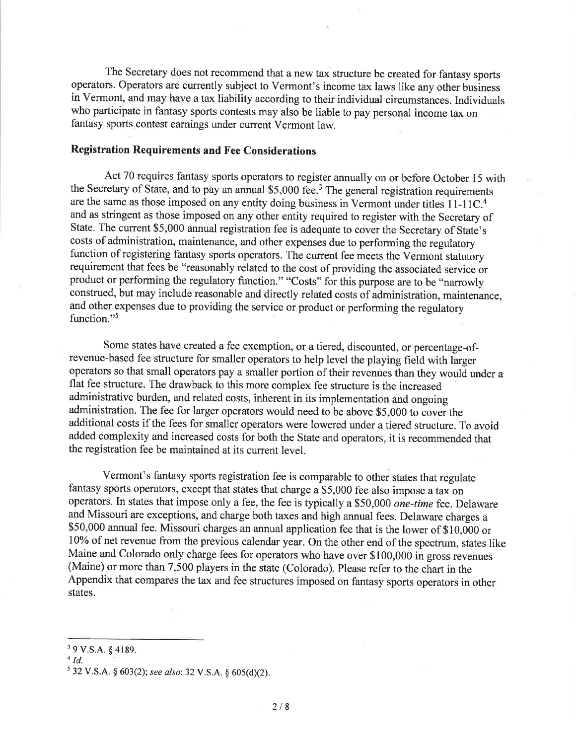The Secretary does not recommend that a new tax structure be created for fantasy sports operators. Operators are currently subject to Vermont's income tax laws like any other business in Vermont, and may have a tax liability according to their individual circumstances. Individuals who participate in fantasy sports contests may also be liable to pay personal income tax on fantasy sports contest earnings under current Vermont law.

### Registration Requirements and Fee Considerations

Act 70 requires fantasy sports operators to register annually on or before October 15 with the Secretary of State, and to pay an annual  $$5,000$  fee.<sup>3</sup> The general registration requirements are the same as those imposed on any entity doing business in Vermont under titles  $11\text{-}11\text{C}$ .<sup>4</sup> and as stringent as those imposed on any other entity required to register with the Secretary of State. The current \$5,000 annual registration fee is adequate to cover the Secretary of State's costs of administration, maintenance, and other expenses due to performing the regulatory function of registering fantasy sports operators. The current fee meets the Vermont statutory requirement that fees be "reasonably related to the cost of providing the associated service or product or performing the regulatory function." "Costs" for this purpose are to be "narrowly construed, but may include reasonable and directly related costs of administration, maintenance, and other expenses due to providing the service or product or performing the regulatory function."<sup>5</sup>

Some states have created a fee exemption, or a tiered, discounted, or percentage-ofrevenue-based fee structure for smaller operators to help level the playing field with larger operators so that small operators pay a smaller portion of their revenues than they would under <sup>a</sup> flat fee structure. The drawback to this more complex fee structure is the increased administrative burden, and related costs, inherent in its implementation and ongoing administration. The fee for larger operators would need to be above \$5,000 to cover the additional costs if the fees for smaller operators were lowered under a tiered structure. To avoid added complexity and increased costs for both the State and operators, it is recommended that the registration fee be maintained at its current level.

Vermont's fantasy sports registration fee is comparable to other states that regulate fantasy sports operators, except that states that charge a \$5,000 fee also impose a tax on operators. In states that impose only a fee, the fee is typically a\$50,000 one-time fee. Delaware and Missouri are exceptions, and charge both taxes and high annual fees. Delaware charges <sup>a</sup> \$50,000 annual fee. Missouri charges an annual application fee that is the lower of \$10,000 or 10% of net revenue from the previous calendar year. On the other end of the spectrum, states like Maine and Colorado only charge fees for operators who have over \$100,000 in gross revenues (Maine) or more than 7,500 players in the state (Colorado). Please refer to the chart in the Appendix that compares the tax and fee structures imposed on fantasy sports operators in other states.

<sup>&</sup>lt;sup>3</sup> 9 V.S.A. § 4189.

 $4$  Id.

 $5\,32\,V.S.A. \S\,603(2);$  see also: 32 V.S.A.  $\S\,605(d)(2)$ .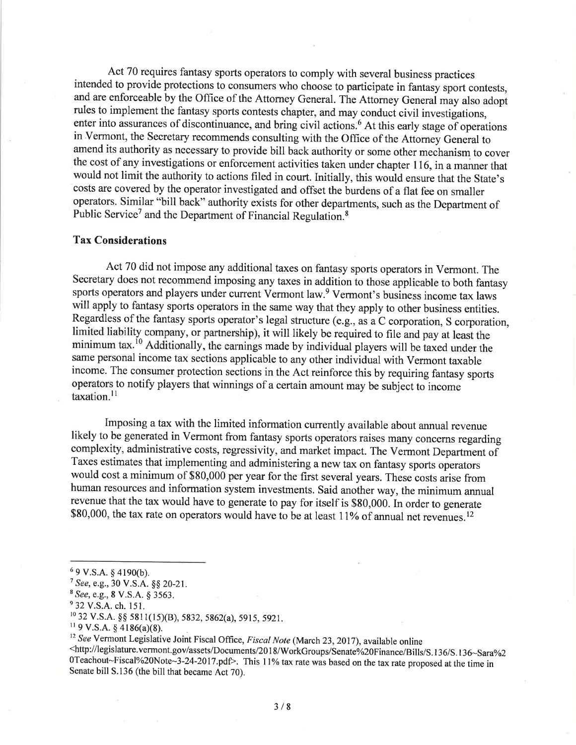Act 70 requires fantasy sports operators to comply with several business practices intended to provide protections to consumers who choose to participate in fantasy sport contests, and are enforceable by the Office of the Attorney General. The Attorney General may also adopt rules to implement the fantasy sports contests chapter, and may conduci civil investigations, enter into assurances of discontinuance, and bring civil actions.<sup>6</sup> At this early stage of operations in Vermont, the Secretary recommends consulting with the Office of the Attorney General to amend its authority as necessary to provide bill back authority or some other mechanism to cover the cost of any investigations or enforcement activities taken under chapter 1 16, in a manner that would not limit the authority to actions filed in court. Initially, this would ensure that the State's costs are covered by the operator investigated and offset the burdens of a flat fee on smaller operators. Similar "bill back" authority exists for other departments, such as the Department of Public Service<sup>7</sup> and the Department of Financial Regulation.<sup>8</sup>

### Tax Considerations

Act 70 did not impose any additional taxes on fantasy sports operators in Vermont. The Secretary does not recommend imposing any taxes in addition to those applicable to both fantasy sports operators and players under current Vermont law.<sup>9</sup> Vermont's business income tax laws will apply to fantasy sports operators in the same way that they apply to other business entities. Regardless of the fantasy sports operator's legal structure (e.g., as a C corporation, S corporation, limited liability company, or partnership), it will likely be required to file and pay at least the minimum tax.<sup>10</sup> Additionally, the earnings made by individual players will be taxed under the same personal income tax sections applicable to any other individual with Vermont taxable income. The consumer protection sections in the Act reinforce this by requiring fantasy sports operators to notify players that winnings of a certain amount may be subject to income taxation.<sup>11</sup>

Imposing a tax with the limited information currently available about annual revenue likely to be generated in Vermont from fantasy sports operators raises many concerns regarding complexity, administrative costs, regressivity, and market impact. The Vermont Department of Taxes estimates that implementing and administering a new tax on fantasy sports operators would cost a minimum of \$80,000 per year for the first several years. These costs arise from human resources and information system investments. Said another way, the minimum annual revenue that the tax would have to generate to pay for itself is \$80,000. In order to generate \$80,000, the tax rate on operators would have to be at least 11% of annual net revenues.<sup>12</sup>

 $69$  V.S.A. § 4190(b).

 $7$  See, e.g., 30 V.S.A. §§ 20-21.

<sup>&</sup>lt;sup>8</sup> See, e.g., 8 V.S.A. § 3563.

<sup>&</sup>lt;sup>9</sup> 32 V.S.A. ch. 151.

<sup>&</sup>lt;sup>10</sup> 32 V.S.A. §§ 5811(15)(B), 5832, 5862(a), 5915, 5921.<br><sup>11</sup> 9 V.S.A. § 4186(a)(8).

<sup>&</sup>lt;sup>12</sup> See Vermont Legislative Joint Fiscal Office, *Fiscal Note* (March 23, 2017), available online<br>
<http://legislature.vermont.gov/assets/Documents/2018/WorkGroups/Senate%20Finance/Bills/S.136/S.136~Sara%2 0Teachout~Fiscal%20Note~3-24-2017.pdf>. This 11% tax rate was based on the tax rate proposed at the time in Senate bill S.136 (the bill that became Act 70).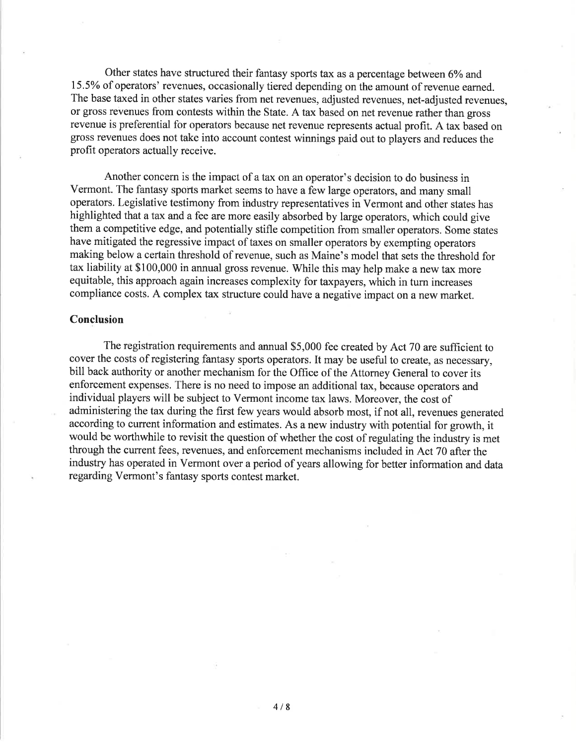Other states have structured their fantasy sports tax as a percentage between 6% and 155% of operators' revenues, occasionally tiered depending on the amount of revenue earned. The base taxed in other states varies from net revenues, adjusted revenues, net-adjusted revenues, or gross revenues from contests within the State. A tax based on net revenue rather than gross revenue is preferential for operators because net revenue represents actual profit. A tax based on gross revenues does not take into account contest winnings paid out to players and reduces the profit operators actually receive.

Another concern is the impact of a tax on an operator's decision to do business in Vermont. The fantasy sports market seems to have a few large operators, and many small operators. Legislative testimony from ihdustry representatives in Vermont and other states has highlighted that atax and a fee are more easily absorbed by large operators, which could give them a competitive edge, and potentially stifle competition from smaller operators. Some states have mitigated the regressive impact of taxes on smaller operators by exempting operators making below a certain threshold of revenue, such as Maine's model that sets the threshold for tax liability at \$100,000 in annual gross revenue. While this may help make a new tax more equitable, this approach again increases complexity for taxpayers, which in tum increases compliance costs. A complex tax structure could have a negative impact on a new market.

#### Conclusion

The registration requirements and annual \$5,000 fee created by Act 70 are sufficient to cover the costs of registering fantasy sports operators. It may be useful to create, as necessary, bill back authority or another mechanism for the Office of the Attorney General to cover its enforcement expenses. There is no need to impose an additional tax, because operators and individual players will be subject to Vermont income tax laws. Moreover, the cost of administering the tax during the first few years would absorb most, if not all, revenues generated according to current information and estimates. As a new industry with potential for growth, it would be worthwhile to revisit the question of whether the cost of regulating the industry is met through the current fees, revenues, and enforcement mechanisms included in Act 70 after the industry has operated in Vermont over a period of years allowing for better information and data regarding Vermont's fantasy sports contest market.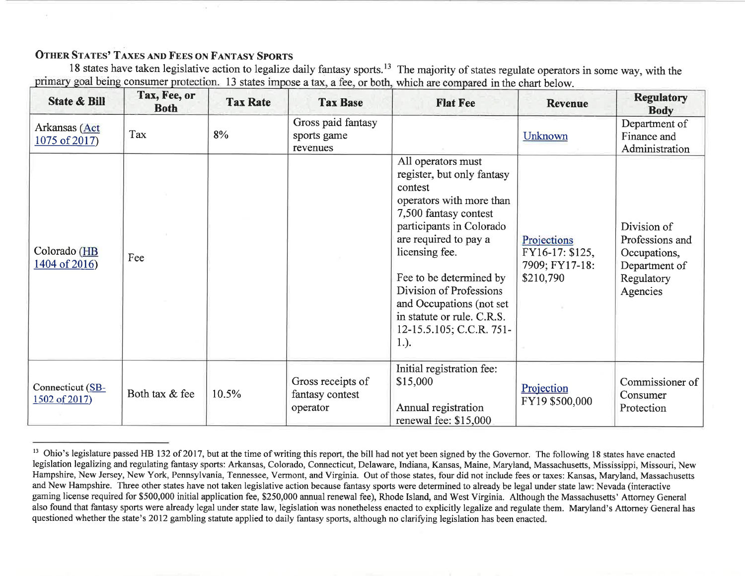# OTHER STATES' TAXES AND FEES ON FANTASY SPORTS

<sup>18</sup> states have taken legislative action to legalize daily fantasy sports.<sup>13</sup> The majority of states regulate operators in some way, with the consumer protection. 13 states impose a tax, a fee, or both, which are compared in the chart below.

| <b>State &amp; Bill</b>           | Tax, Fee, or<br><b>Both</b> | <b>Tax Rate</b> | <b>Tax Base</b>                                  | <b>Flat Fee</b>                                                                                                                                                                                                                                                                                                                                | <b>Revenue</b>                                                | <b>Regulatory</b><br><b>Body</b>                                                          |
|-----------------------------------|-----------------------------|-----------------|--------------------------------------------------|------------------------------------------------------------------------------------------------------------------------------------------------------------------------------------------------------------------------------------------------------------------------------------------------------------------------------------------------|---------------------------------------------------------------|-------------------------------------------------------------------------------------------|
| Arkansas (Act<br>$1075$ of 2017)  | Tax                         | 8%              | Gross paid fantasy<br>sports game<br>revenues    |                                                                                                                                                                                                                                                                                                                                                | Unknown                                                       | Department of<br>Finance and<br>Administration                                            |
| Colorado (HB<br>1404 of 2016)     | Fee                         |                 |                                                  | All operators must<br>register, but only fantasy<br>contest<br>operators with more than<br>7,500 fantasy contest<br>participants in Colorado<br>are required to pay a<br>licensing fee.<br>Fee to be determined by<br>Division of Professions<br>and Occupations (not set<br>in statute or rule. C.R.S.<br>12-15.5.105; C.C.R. 751-<br>$1.$ ). | Projections<br>FY16-17: \$125,<br>7909; FY17-18:<br>\$210,790 | Division of<br>Professions and<br>Occupations,<br>Department of<br>Regulatory<br>Agencies |
| Connecticut (SB-<br>1502 of 2017) | Both tax & fee              | 10.5%           | Gross receipts of<br>fantasy contest<br>operator | Initial registration fee:<br>\$15,000<br>Annual registration<br>renewal fee: \$15,000                                                                                                                                                                                                                                                          | Projection<br>FY19 \$500,000                                  | Commissioner of<br>Consumer<br>Protection                                                 |

<sup>&</sup>lt;sup>13</sup> Ohio's legislature passed HB 132 of 2017, but at the time of writing this report, the bill had not yet been signed by the Governor. The following 18 states have enacted legislation legalizing and regulating fantasy sports: Arkansas, Colorado, Connecticut, Delaware, Indiana, Kansas, Maine, Maryland, Massachusetts, Mississippi, Missouri, New Hampshire, New Jersey, New York, Pennsylvania, Tennessee, Vermont, and Virginia. Out of those states, four did not include fees or taxes: Kansas, Maryland, Massachusettsand New Hampshire. Three other states have not taken legislative action because fantasy sports were determined to already be legal under state law: Nevada (interactive gaming license required for \$500,000 initial application fee, \$250,000 annual renewal fee), Rhode Island, and West Virginia. Although the Massachusetts' Attorney General questioned whether the state's 2012 gambling statute applied to daily fantasy sports, although no clarifying legislation has been enacted.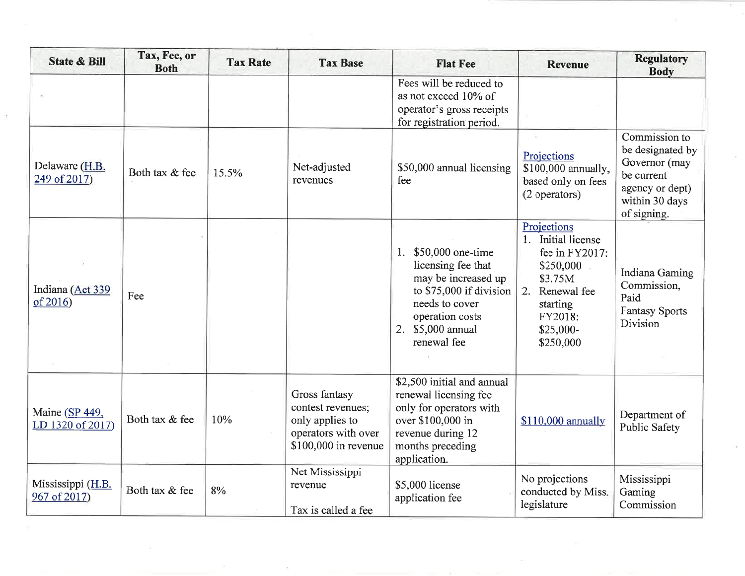| <b>State &amp; Bill</b>              | Tax, Fee, or<br><b>Both</b> | <b>Tax Rate</b> | <b>Tax Base</b>                                                                                      | <b>Flat Fee</b>                                                                                                                                                          | <b>Revenue</b>                                                                                                                                  | <b>Regulatory</b><br><b>Body</b>                                                                                     |
|--------------------------------------|-----------------------------|-----------------|------------------------------------------------------------------------------------------------------|--------------------------------------------------------------------------------------------------------------------------------------------------------------------------|-------------------------------------------------------------------------------------------------------------------------------------------------|----------------------------------------------------------------------------------------------------------------------|
|                                      |                             |                 |                                                                                                      | Fees will be reduced to<br>as not exceed 10% of<br>operator's gross receipts<br>for registration period.                                                                 |                                                                                                                                                 |                                                                                                                      |
| Delaware (H.B.<br>249 of 2017)       | Both tax & fee              | 15.5%           | Net-adjusted<br>revenues                                                                             | \$50,000 annual licensing<br>fee                                                                                                                                         | Projections<br>\$100,000 annually,<br>based only on fees<br>(2 operators)                                                                       | Commission to<br>be designated by<br>Governor (may<br>be current<br>agency or dept)<br>within 30 days<br>of signing. |
| Indiana (Act 339<br>of 2016          | Fee                         |                 |                                                                                                      | \$50,000 one-time<br>1.<br>licensing fee that<br>may be increased up<br>to \$75,000 if division<br>needs to cover<br>operation costs<br>2. \$5,000 annual<br>renewal fee | Projections<br>1. Initial license<br>fee in FY2017:<br>\$250,000<br>\$3.75M<br>2. Renewal fee<br>starting<br>FY2018:<br>$$25,000-$<br>\$250,000 | Indiana Gaming<br>Commission,<br>Paid<br><b>Fantasy Sports</b><br>Division                                           |
| Maine $(SP 449,$<br>LD 1320 of 2017) | Both tax & fee              | 10%             | Gross fantasy<br>contest revenues;<br>only applies to<br>operators with over<br>\$100,000 in revenue | \$2,500 initial and annual<br>renewal licensing fee<br>only for operators with<br>over \$100,000 in<br>revenue during 12<br>months preceding<br>application.             | $$110,000$ annually                                                                                                                             | Department of<br><b>Public Safety</b>                                                                                |
| Mississippi (H.B.<br>967 of 2017)    | Both tax & fee              | 8%              | Net Mississippi<br>revenue<br>Tax is called a fee                                                    | \$5,000 license<br>application fee                                                                                                                                       | No projections<br>conducted by Miss.<br>legislature                                                                                             | Mississippi<br>Gaming<br>Commission                                                                                  |

x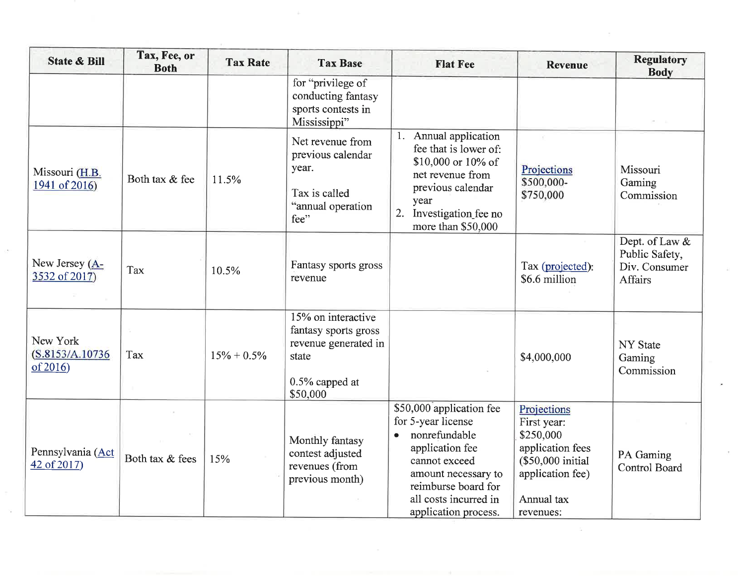| <b>State &amp; Bill</b>                  | Tax, Fee, or<br><b>Both</b> | <b>Tax Rate</b> | <b>Tax Base</b>                                                                                           | <b>Flat Fee</b>                                                                                                                                                                                    | <b>Revenue</b>                                                                                                                  | <b>Regulatory</b><br><b>Body</b>                             |
|------------------------------------------|-----------------------------|-----------------|-----------------------------------------------------------------------------------------------------------|----------------------------------------------------------------------------------------------------------------------------------------------------------------------------------------------------|---------------------------------------------------------------------------------------------------------------------------------|--------------------------------------------------------------|
|                                          |                             |                 | for "privilege of<br>conducting fantasy<br>sports contests in<br>Mississippi"                             |                                                                                                                                                                                                    |                                                                                                                                 |                                                              |
| Missouri (H.B.<br>1941 of 2016)          | Both tax & fee              | 11.5%           | Net revenue from<br>previous calendar<br>year.<br>Tax is called<br>"annual operation<br>fee"              | Annual application<br>1.<br>fee that is lower of:<br>\$10,000 or 10% of<br>net revenue from<br>previous calendar<br>year<br>2.<br>Investigation fee no<br>more than \$50,000                       | Projections<br>\$500,000-<br>\$750,000                                                                                          | Missouri<br>Gaming<br>Commission                             |
| New Jersey (A-<br>3532 of 2017)          | Tax                         | 10.5%           | Fantasy sports gross<br>revenue                                                                           |                                                                                                                                                                                                    | Tax (projected):<br>\$6.6 million                                                                                               | Dept. of Law &<br>Public Safety,<br>Div. Consumer<br>Affairs |
| New York<br>(S.8153/A.10736)<br>of 2016) | Tax                         | $15\% + 0.5\%$  | 15% on interactive<br>fantasy sports gross<br>revenue generated in<br>state<br>0.5% capped at<br>\$50,000 |                                                                                                                                                                                                    | \$4,000,000                                                                                                                     | NY State<br>Gaming<br>Commission                             |
| Pennsylvania (Act<br>$42$ of 2017)       | Both tax & fees             | 15%             | Monthly fantasy<br>contest adjusted<br>revenues (from<br>previous month)                                  | \$50,000 application fee<br>for 5-year license<br>nonrefundable<br>application fee<br>cannot exceed<br>amount necessary to<br>reimburse board for<br>all costs incurred in<br>application process. | Projections<br>First year:<br>\$250,000<br>application fees<br>(\$50,000 initial<br>application fee)<br>Annual tax<br>revenues: | PA Gaming<br><b>Control Board</b>                            |

 $\mathcal{N}_{\rm eff}$